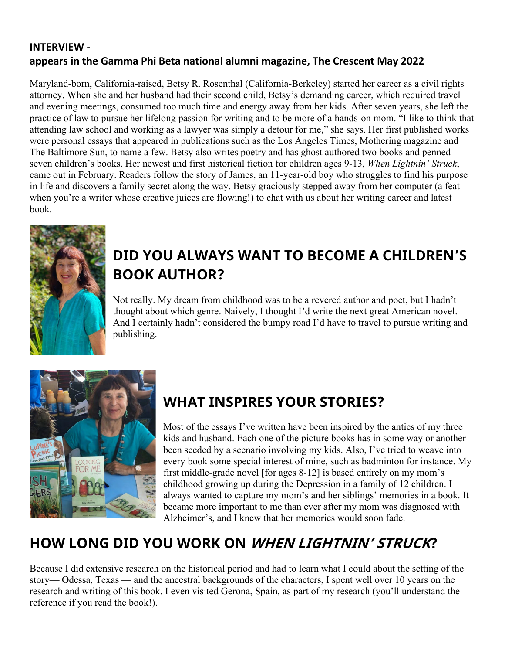#### **INTERVIEW appears in the Gamma Phi Beta national alumni magazine, The Crescent May 2022**

Maryland-born, California-raised, Betsy R. Rosenthal (California-Berkeley) started her career as a civil rights attorney. When she and her husband had their second child, Betsy's demanding career, which required travel and evening meetings, consumed too much time and energy away from her kids. After seven years, she left the practice of law to pursue her lifelong passion for writing and to be more of a hands-on mom. "I like to think that attending law school and working as a lawyer was simply a detour for me," she says. Her first published works were personal essays that appeared in publications such as the Los Angeles Times, Mothering magazine and The Baltimore Sun, to name a few. Betsy also writes poetry and has ghost authored two books and penned seven children's books. Her newest and first historical fiction for children ages 9-13, *When Lightnin' Struck*, came out in February. Readers follow the story of James, an 11-year-old boy who struggles to find his purpose in life and discovers a family secret along the way. Betsy graciously stepped away from her computer (a feat when you're a writer whose creative juices are flowing!) to chat with us about her writing career and latest book.



# **DID YOU ALWAYS WANT TO BECOME A CHILDREN'S BOOK AUTHOR?**

Not really. My dream from childhood was to be a revered author and poet, but I hadn't thought about which genre. Naively, I thought I'd write the next great American novel. And I certainly hadn't considered the bumpy road I'd have to travel to pursue writing and publishing.



## **WHAT INSPIRES YOUR STORIES?**

Most of the essays I've written have been inspired by the antics of my three kids and husband. Each one of the picture books has in some way or another been seeded by a scenario involving my kids. Also, I've tried to weave into every book some special interest of mine, such as badminton for instance. My first middle-grade novel [for ages 8-12] is based entirely on my mom's childhood growing up during the Depression in a family of 12 children. I always wanted to capture my mom's and her siblings' memories in a book. It became more important to me than ever after my mom was diagnosed with Alzheimer's, and I knew that her memories would soon fade.

# **HOW LONG DID YOU WORK ON WHEN LIGHTNIN' STRUCK?**

Because I did extensive research on the historical period and had to learn what I could about the setting of the story— Odessa, Texas — and the ancestral backgrounds of the characters, I spent well over 10 years on the research and writing of this book. I even visited Gerona, Spain, as part of my research (you'll understand the reference if you read the book!).